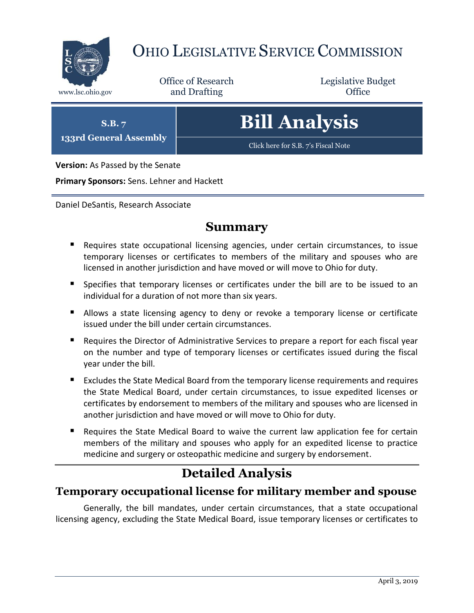

# OHIO LEGISLATIVE SERVICE COMMISSION

Office of Research www.lsc.ohio.gov and Drafting Control Control of Control Control Office

Legislative Budget

**S.B. 7 133rd General Assembly** **Bill Analysis**

[Click here for S.B. 7](https://www.legislature.ohio.gov/legislation/legislation-documents?id=GA133-SB-7)'s Fiscal Note

**Version:** As Passed by the Senate

**Primary Sponsors:** Sens. Lehner and Hackett

Daniel DeSantis, Research Associate

## **Summary**

- Requires state occupational licensing agencies, under certain circumstances, to issue temporary licenses or certificates to members of the military and spouses who are licensed in another jurisdiction and have moved or will move to Ohio for duty.
- **Specifies that temporary licenses or certificates under the bill are to be issued to an** individual for a duration of not more than six years.
- **Allows a state licensing agency to deny or revoke a temporary license or certificate** issued under the bill under certain circumstances.
- Requires the Director of Administrative Services to prepare a report for each fiscal year on the number and type of temporary licenses or certificates issued during the fiscal year under the bill.
- Excludes the State Medical Board from the temporary license requirements and requires the State Medical Board, under certain circumstances, to issue expedited licenses or certificates by endorsement to members of the military and spouses who are licensed in another jurisdiction and have moved or will move to Ohio for duty.
- Requires the State Medical Board to waive the current law application fee for certain members of the military and spouses who apply for an expedited license to practice medicine and surgery or osteopathic medicine and surgery by endorsement.

## **Detailed Analysis**

## **Temporary occupational license for military member and spouse**

Generally, the bill mandates, under certain circumstances, that a state occupational licensing agency, excluding the State Medical Board, issue temporary licenses or certificates to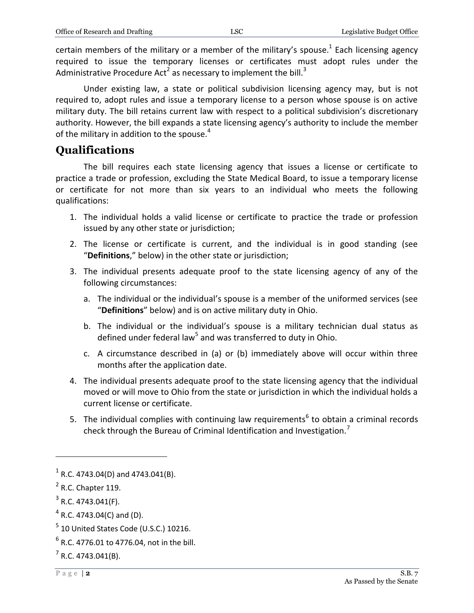certain members of the military or a member of the military's spouse.<sup>1</sup> Each licensing agency required to issue the temporary licenses or certificates must adopt rules under the Administrative Procedure Act<sup>2</sup> as necessary to implement the bill.<sup>3</sup>

Under existing law, a state or political subdivision licensing agency may, but is not required to, adopt rules and issue a temporary license to a person whose spouse is on active military duty. The bill retains current law with respect to a political subdivision's discretionary authority. However, the bill expands a state licensing agency's authority to include the member of the military in addition to the spouse. $4$ 

#### **Qualifications**

The bill requires each state licensing agency that issues a license or certificate to practice a trade or profession, excluding the State Medical Board, to issue a temporary license or certificate for not more than six years to an individual who meets the following qualifications:

- 1. The individual holds a valid license or certificate to practice the trade or profession issued by any other state or jurisdiction;
- 2. The license or certificate is current, and the individual is in good standing (see "**Definitions**," below) in the other state or jurisdiction;
- 3. The individual presents adequate proof to the state licensing agency of any of the following circumstances:
	- a. The individual or the individual's spouse is a member of the uniformed services (see "**Definitions**" below) and is on active military duty in Ohio.
	- b. The individual or the individual's spouse is a military technician dual status as defined under federal law<sup>5</sup> and was transferred to duty in Ohio.
	- c. A circumstance described in (a) or (b) immediately above will occur within three months after the application date.
- 4. The individual presents adequate proof to the state licensing agency that the individual moved or will move to Ohio from the state or jurisdiction in which the individual holds a current license or certificate.
- 5. The individual complies with continuing law requirements<sup>6</sup> to obtain a criminal records check through the Bureau of Criminal Identification and Investigation.<sup>7</sup>

 $1$  R.C. 4743.04(D) and 4743.041(B).

 $<sup>2</sup>$  R.C. Chapter 119.</sup>

 $3$  R.C. 4743.041(F).

 $4$  R.C. 4743.04(C) and (D).

 $<sup>5</sup>$  10 United States Code (U.S.C.) 10216.</sup>

 $^6$  R.C. 4776.01 to 4776.04, not in the bill.

 $7$  R.C. 4743.041(B).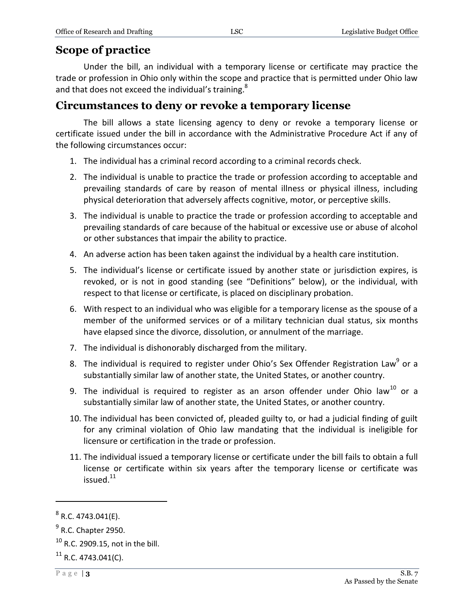## **Scope of practice**

Under the bill, an individual with a temporary license or certificate may practice the trade or profession in Ohio only within the scope and practice that is permitted under Ohio law and that does not exceed the individual's training.<sup>8</sup>

## **Circumstances to deny or revoke a temporary license**

The bill allows a state licensing agency to deny or revoke a temporary license or certificate issued under the bill in accordance with the Administrative Procedure Act if any of the following circumstances occur:

- 1. The individual has a criminal record according to a criminal records check.
- 2. The individual is unable to practice the trade or profession according to acceptable and prevailing standards of care by reason of mental illness or physical illness, including physical deterioration that adversely affects cognitive, motor, or perceptive skills.
- 3. The individual is unable to practice the trade or profession according to acceptable and prevailing standards of care because of the habitual or excessive use or abuse of alcohol or other substances that impair the ability to practice.
- 4. An adverse action has been taken against the individual by a health care institution.
- 5. The individual's license or certificate issued by another state or jurisdiction expires, is revoked, or is not in good standing (see "Definitions" below), or the individual, with respect to that license or certificate, is placed on disciplinary probation.
- 6. With respect to an individual who was eligible for a temporary license as the spouse of a member of the uniformed services or of a military technician dual status, six months have elapsed since the divorce, dissolution, or annulment of the marriage.
- 7. The individual is dishonorably discharged from the military.
- 8. The individual is required to register under Ohio's Sex Offender Registration Law<sup>9</sup> or a substantially similar law of another state, the United States, or another country.
- 9. The individual is required to register as an arson offender under Ohio law<sup>10</sup> or a substantially similar law of another state, the United States, or another country.
- 10. The individual has been convicted of, pleaded guilty to, or had a judicial finding of guilt for any criminal violation of Ohio law mandating that the individual is ineligible for licensure or certification in the trade or profession.
- 11. The individual issued a temporary license or certificate under the bill fails to obtain a full license or certificate within six years after the temporary license or certificate was issued.<sup>11</sup>

 $^8$  R.C. 4743.041(E).

<sup>&</sup>lt;sup>9</sup> R.C. Chapter 2950.

 $^{10}$  R.C. 2909.15, not in the bill.

 $11$  R.C. 4743.041(C).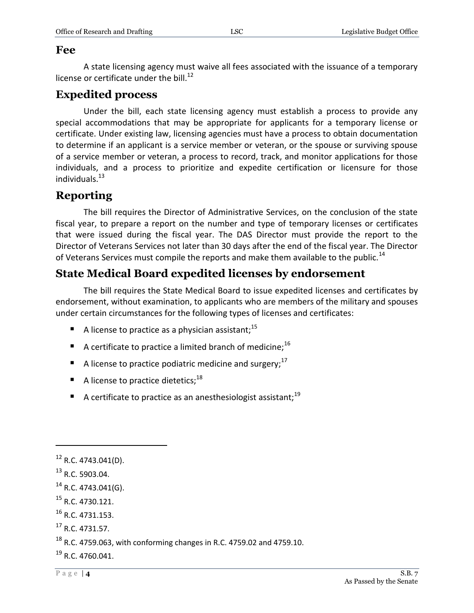#### **Fee**

A state licensing agency must waive all fees associated with the issuance of a temporary license or certificate under the bill. $^{12}$ 

## **Expedited process**

Under the bill, each state licensing agency must establish a process to provide any special accommodations that may be appropriate for applicants for a temporary license or certificate. Under existing law, licensing agencies must have a process to obtain documentation to determine if an applicant is a service member or veteran, or the spouse or surviving spouse of a service member or veteran, a process to record, track, and monitor applications for those individuals, and a process to prioritize and expedite certification or licensure for those individuals. $13$ 

## **Reporting**

The bill requires the Director of Administrative Services, on the conclusion of the state fiscal year, to prepare a report on the number and type of temporary licenses or certificates that were issued during the fiscal year. The DAS Director must provide the report to the Director of Veterans Services not later than 30 days after the end of the fiscal year. The Director of Veterans Services must compile the reports and make them available to the public.<sup>14</sup>

## **State Medical Board expedited licenses by endorsement**

The bill requires the State Medical Board to issue expedited licenses and certificates by endorsement, without examination, to applicants who are members of the military and spouses under certain circumstances for the following types of licenses and certificates:

- A license to practice as a physician assistant;  $15$
- A certificate to practice a limited branch of medicine;<sup>16</sup>
- A license to practice podiatric medicine and surgery;  $17$
- A license to practice dietetics;  $18$
- A certificate to practice as an anesthesiologist assistant;<sup>19</sup>

- $16$  R.C. 4731.153.
- <sup>17</sup> R.C. 4731.57.

 $12$  R.C. 4743.041(D).

<sup>13</sup> R.C. 5903.04.

 $14$  R.C. 4743.041(G).

<sup>15</sup> R.C. 4730.121.

 $18$  R.C. 4759.063, with conforming changes in R.C. 4759.02 and 4759.10.

 $^{19}$  R.C. 4760.041.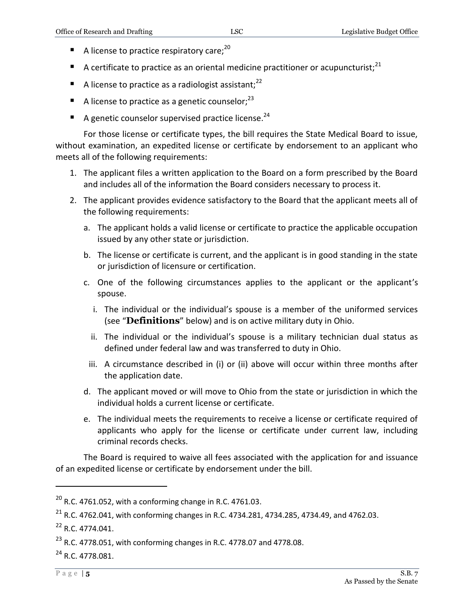- A license to practice respiratory care: $^{20}$
- A certificate to practice as an oriental medicine practitioner or acupuncturist;<sup>21</sup>
- A license to practice as a radiologist assistant;<sup>22</sup>
- A license to practice as a genetic counselor;  $2^3$
- A genetic counselor supervised practice license.<sup>24</sup>

For those license or certificate types, the bill requires the State Medical Board to issue, without examination, an expedited license or certificate by endorsement to an applicant who meets all of the following requirements:

- 1. The applicant files a written application to the Board on a form prescribed by the Board and includes all of the information the Board considers necessary to process it.
- 2. The applicant provides evidence satisfactory to the Board that the applicant meets all of the following requirements:
	- a. The applicant holds a valid license or certificate to practice the applicable occupation issued by any other state or jurisdiction.
	- b. The license or certificate is current, and the applicant is in good standing in the state or jurisdiction of licensure or certification.
	- c. One of the following circumstances applies to the applicant or the applicant's spouse.
		- i. The individual or the individual's spouse is a member of the uniformed services (see "**Definitions**" below) and is on active military duty in Ohio.
		- ii. The individual or the individual's spouse is a military technician dual status as defined under federal law and was transferred to duty in Ohio.
		- iii. A circumstance described in (i) or (ii) above will occur within three months after the application date.
	- d. The applicant moved or will move to Ohio from the state or jurisdiction in which the individual holds a current license or certificate.
	- e. The individual meets the requirements to receive a license or certificate required of applicants who apply for the license or certificate under current law, including criminal records checks.

The Board is required to waive all fees associated with the application for and issuance of an expedited license or certificate by endorsement under the bill.

 $^{20}$  R.C. 4761.052, with a conforming change in R.C. 4761.03.

 $^{21}$  R.C. 4762.041, with conforming changes in R.C. 4734.281, 4734.285, 4734.49, and 4762.03.

<sup>22</sup> R.C. 4774.041.

 $^{23}$  R.C. 4778.051, with conforming changes in R.C. 4778.07 and 4778.08.

<sup>&</sup>lt;sup>24</sup> R.C. 4778.081.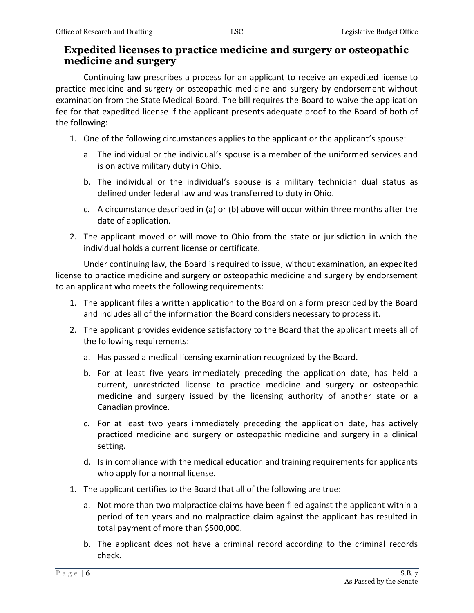#### **Expedited licenses to practice medicine and surgery or osteopathic medicine and surgery**

Continuing law prescribes a process for an applicant to receive an expedited license to practice medicine and surgery or osteopathic medicine and surgery by endorsement without examination from the State Medical Board. The bill requires the Board to waive the application fee for that expedited license if the applicant presents adequate proof to the Board of both of the following:

- 1. One of the following circumstances applies to the applicant or the applicant's spouse:
	- a. The individual or the individual's spouse is a member of the uniformed services and is on active military duty in Ohio.
	- b. The individual or the individual's spouse is a military technician dual status as defined under federal law and was transferred to duty in Ohio.
	- c. A circumstance described in (a) or (b) above will occur within three months after the date of application.
- 2. The applicant moved or will move to Ohio from the state or jurisdiction in which the individual holds a current license or certificate.

Under continuing law, the Board is required to issue, without examination, an expedited license to practice medicine and surgery or osteopathic medicine and surgery by endorsement to an applicant who meets the following requirements:

- 1. The applicant files a written application to the Board on a form prescribed by the Board and includes all of the information the Board considers necessary to process it.
- 2. The applicant provides evidence satisfactory to the Board that the applicant meets all of the following requirements:
	- a. Has passed a medical licensing examination recognized by the Board.
	- b. For at least five years immediately preceding the application date, has held a current, unrestricted license to practice medicine and surgery or osteopathic medicine and surgery issued by the licensing authority of another state or a Canadian province.
	- c. For at least two years immediately preceding the application date, has actively practiced medicine and surgery or osteopathic medicine and surgery in a clinical setting.
	- d. Is in compliance with the medical education and training requirements for applicants who apply for a normal license.
- 1. The applicant certifies to the Board that all of the following are true:
	- a. Not more than two malpractice claims have been filed against the applicant within a period of ten years and no malpractice claim against the applicant has resulted in total payment of more than \$500,000.
	- b. The applicant does not have a criminal record according to the criminal records check.